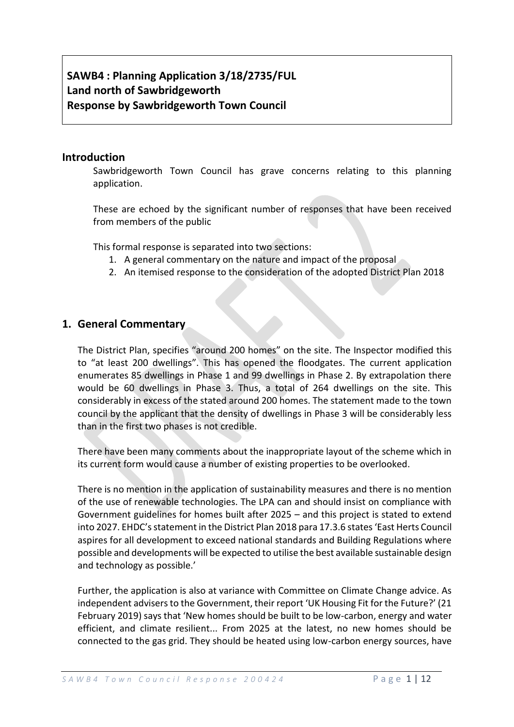# **SAWB4 : Planning Application 3/18/2735/FUL Land north of Sawbridgeworth Response by Sawbridgeworth Town Council**

#### **Introduction**

Sawbridgeworth Town Council has grave concerns relating to this planning application.

These are echoed by the significant number of responses that have been received from members of the public

This formal response is separated into two sections:

- 1. A general commentary on the nature and impact of the proposal
- 2. An itemised response to the consideration of the adopted District Plan 2018

## **1. General Commentary**

The District Plan, specifies "around 200 homes" on the site. The Inspector modified this to "at least 200 dwellings". This has opened the floodgates. The current application enumerates 85 dwellings in Phase 1 and 99 dwellings in Phase 2. By extrapolation there would be 60 dwellings in Phase 3. Thus, a total of 264 dwellings on the site. This considerably in excess of the stated around 200 homes. The statement made to the town council by the applicant that the density of dwellings in Phase 3 will be considerably less than in the first two phases is not credible.

There have been many comments about the inappropriate layout of the scheme which in its current form would cause a number of existing properties to be overlooked.

There is no mention in the application of sustainability measures and there is no mention of the use of renewable technologies. The LPA can and should insist on compliance with Government guidelines for homes built after 2025 – and this project is stated to extend into 2027. EHDC's statement in the District Plan 2018 para 17.3.6 states 'East Herts Council aspires for all development to exceed national standards and Building Regulations where possible and developments will be expected to utilise the best available sustainable design and technology as possible.'

Further, the application is also at variance with Committee on Climate Change advice. As independent advisers to the Government, their report 'UK Housing Fit for the Future?' (21 February 2019) says that 'New homes should be built to be low-carbon, energy and water efficient, and climate resilient... From 2025 at the latest, no new homes should be connected to the gas grid. They should be heated using low-carbon energy sources, have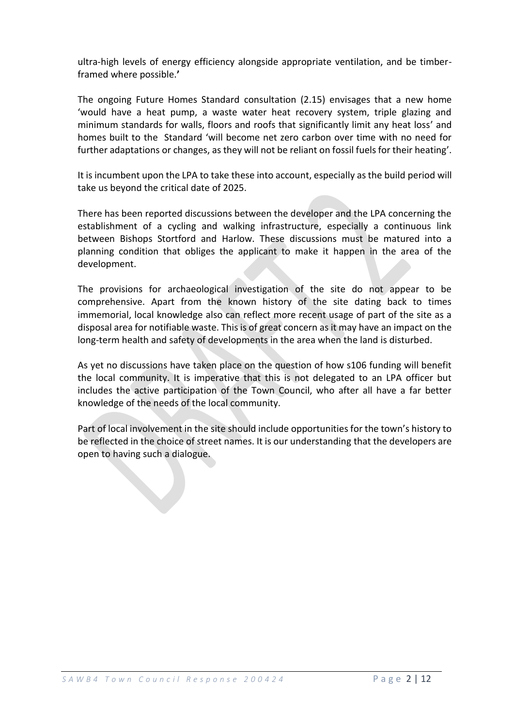ultra-high levels of energy efficiency alongside appropriate ventilation, and be timberframed where possible.**'**

The ongoing Future Homes Standard consultation (2.15) envisages that a new home 'would have a heat pump, a waste water heat recovery system, triple glazing and minimum standards for walls, floors and roofs that significantly limit any heat loss' and homes built to the Standard 'will become net zero carbon over time with no need for further adaptations or changes, as they will not be reliant on fossil fuels for their heating'.

It is incumbent upon the LPA to take these into account, especially as the build period will take us beyond the critical date of 2025.

There has been reported discussions between the developer and the LPA concerning the establishment of a cycling and walking infrastructure, especially a continuous link between Bishops Stortford and Harlow. These discussions must be matured into a planning condition that obliges the applicant to make it happen in the area of the development.

The provisions for archaeological investigation of the site do not appear to be comprehensive. Apart from the known history of the site dating back to times immemorial, local knowledge also can reflect more recent usage of part of the site as a disposal area for notifiable waste. This is of great concern as it may have an impact on the long-term health and safety of developments in the area when the land is disturbed.

As yet no discussions have taken place on the question of how s106 funding will benefit the local community. It is imperative that this is not delegated to an LPA officer but includes the active participation of the Town Council, who after all have a far better knowledge of the needs of the local community.

Part of local involvement in the site should include opportunities for the town's history to be reflected in the choice of street names. It is our understanding that the developers are open to having such a dialogue.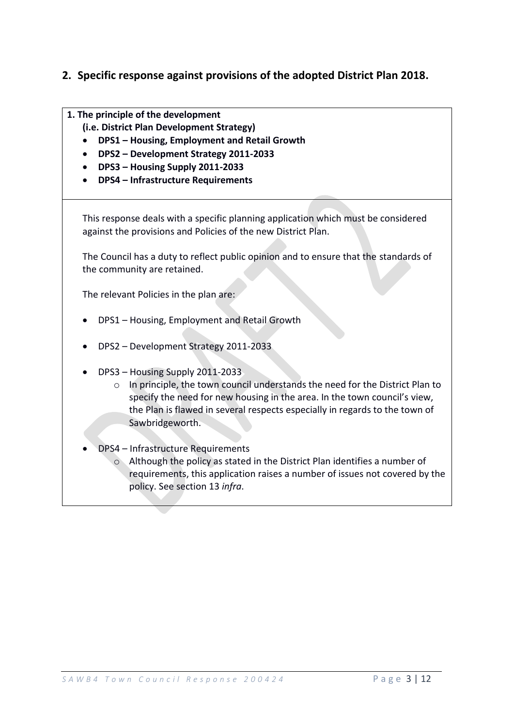## **2. Specific response against provisions of the adopted District Plan 2018.**

- **1. The principle of the development** 
	- **(i.e. District Plan Development Strategy)**
	- **DPS1 – Housing, Employment and Retail Growth**
	- **DPS2 – Development Strategy 2011-2033**
	- **DPS3 – Housing Supply 2011-2033**
	- **DPS4 – Infrastructure Requirements**

This response deals with a specific planning application which must be considered against the provisions and Policies of the new District Plan.

The Council has a duty to reflect public opinion and to ensure that the standards of the community are retained.

The relevant Policies in the plan are:

- DPS1 Housing, Employment and Retail Growth
- DPS2 Development Strategy 2011-2033
- DPS3 Housing Supply 2011-2033
	- o In principle, the town council understands the need for the District Plan to specify the need for new housing in the area. In the town council's view, the Plan is flawed in several respects especially in regards to the town of Sawbridgeworth.
- DPS4 Infrastructure Requirements
	- o Although the policy as stated in the District Plan identifies a number of requirements, this application raises a number of issues not covered by the policy. See section 13 *infra*.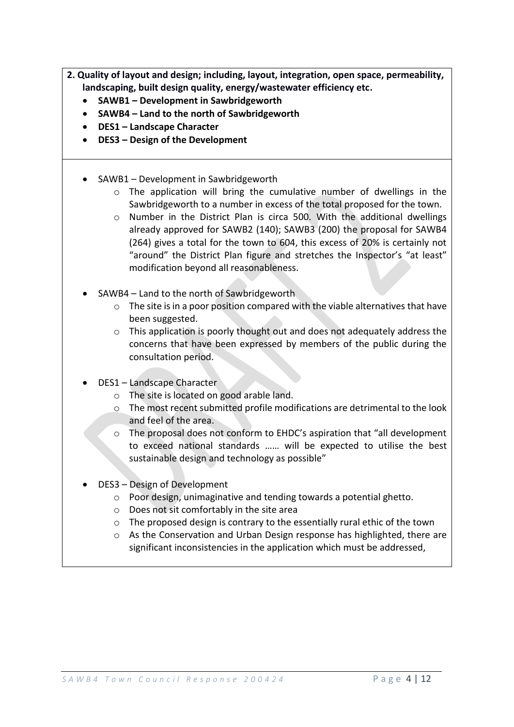- **2. Quality of layout and design; including, layout, integration, open space, permeability, landscaping, built design quality, energy/wastewater efficiency etc.**
	- **SAWB1 – Development in Sawbridgeworth**
	- **SAWB4 – Land to the north of Sawbridgeworth**
	- **DES1 – Landscape Character**
	- **DES3 – Design of the Development**
	- SAWB1 Development in Sawbridgeworth
		- $\circ$  The application will bring the cumulative number of dwellings in the Sawbridgeworth to a number in excess of the total proposed for the town.
		- o Number in the District Plan is circa 500. With the additional dwellings already approved for SAWB2 (140); SAWB3 (200) the proposal for SAWB4 (264) gives a total for the town to 604, this excess of 20% is certainly not "around" the District Plan figure and stretches the Inspector's "at least" modification beyond all reasonableness.
	- SAWB4 Land to the north of Sawbridgeworth
		- o The site is in a poor position compared with the viable alternatives that have been suggested.
		- $\circ$  This application is poorly thought out and does not adequately address the concerns that have been expressed by members of the public during the consultation period.
	- DES1 Landscape Character
		- o The site is located on good arable land.
		- o The most recent submitted profile modifications are detrimental to the look and feel of the area.
		- $\circ$  The proposal does not conform to EHDC's aspiration that "all development" to exceed national standards …… will be expected to utilise the best sustainable design and technology as possible"
	- DES3 Design of Development
		- o Poor design, unimaginative and tending towards a potential ghetto.
		- o Does not sit comfortably in the site area
		- o The proposed design is contrary to the essentially rural ethic of the town
		- $\circ$  As the Conservation and Urban Design response has highlighted, there are significant inconsistencies in the application which must be addressed,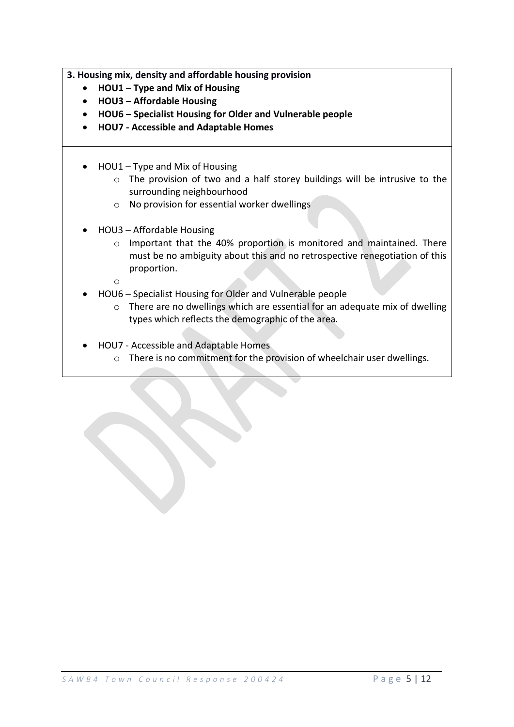**3. Housing mix, density and affordable housing provision**

- **HOU1 – Type and Mix of Housing**
- **HOU3 – Affordable Housing**
- **HOU6 – Specialist Housing for Older and Vulnerable people**
- **HOU7 - Accessible and Adaptable Homes**
- HOU1 Type and Mix of Housing
	- o The provision of two and a half storey buildings will be intrusive to the surrounding neighbourhood
	- o No provision for essential worker dwellings
- HOU3 Affordable Housing
	- o Important that the 40% proportion is monitored and maintained. There must be no ambiguity about this and no retrospective renegotiation of this proportion.
	- o
- HOU6 Specialist Housing for Older and Vulnerable people
	- o There are no dwellings which are essential for an adequate mix of dwelling types which reflects the demographic of the area.
- HOU7 Accessible and Adaptable Homes
	- o There is no commitment for the provision of wheelchair user dwellings.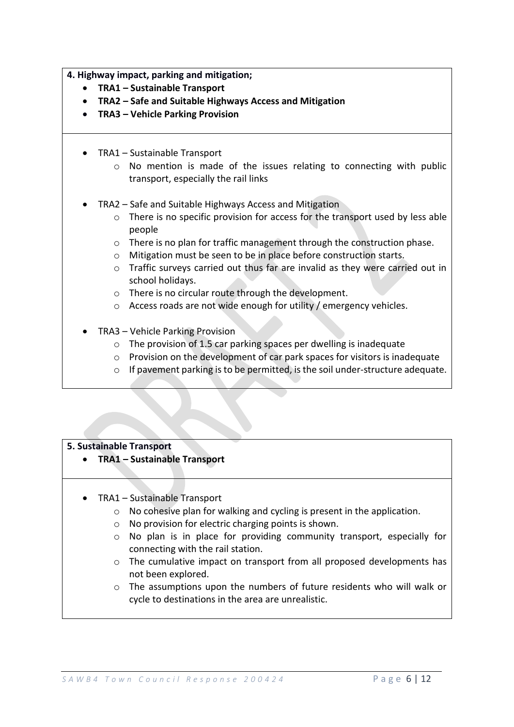**4. Highway impact, parking and mitigation;**

- **TRA1 – Sustainable Transport**
- **TRA2 – Safe and Suitable Highways Access and Mitigation**
- **TRA3 – Vehicle Parking Provision**
- TRA1 Sustainable Transport
	- o No mention is made of the issues relating to connecting with public transport, especially the rail links
- TRA2 Safe and Suitable Highways Access and Mitigation
	- o There is no specific provision for access for the transport used by less able people
	- $\circ$  There is no plan for traffic management through the construction phase.
	- o Mitigation must be seen to be in place before construction starts.
	- o Traffic surveys carried out thus far are invalid as they were carried out in school holidays.
	- o There is no circular route through the development.
	- o Access roads are not wide enough for utility / emergency vehicles.
- TRA3 Vehicle Parking Provision
	- o The provision of 1.5 car parking spaces per dwelling is inadequate
	- o Provision on the development of car park spaces for visitors is inadequate
	- o If pavement parking is to be permitted, is the soil under-structure adequate.

#### **5. Sustainable Transport**

- **TRA1 – Sustainable Transport**
- TRA1 Sustainable Transport
	- o No cohesive plan for walking and cycling is present in the application.
	- o No provision for electric charging points is shown.
	- o No plan is in place for providing community transport, especially for connecting with the rail station.
	- o The cumulative impact on transport from all proposed developments has not been explored.
	- o The assumptions upon the numbers of future residents who will walk or cycle to destinations in the area are unrealistic.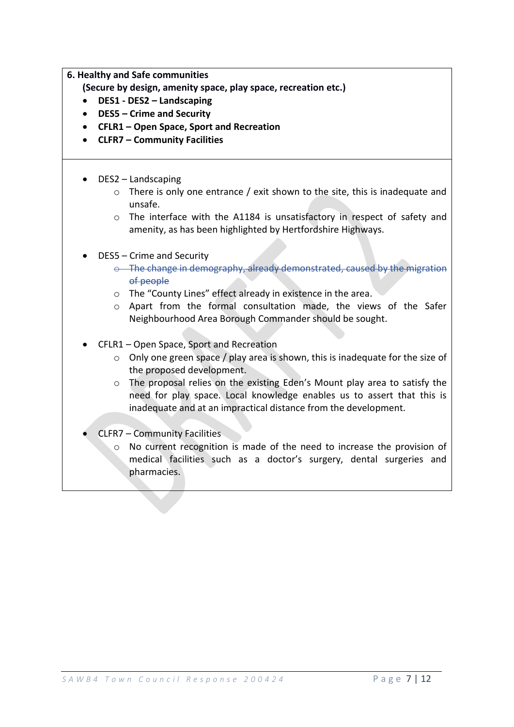#### **6. Healthy and Safe communities**

- **(Secure by design, amenity space, play space, recreation etc.)**
- **DES1 - DES2 – Landscaping**
- **DES5 – Crime and Security**
- **CFLR1 – Open Space, Sport and Recreation**
- **CLFR7 – Community Facilities**
- DES2 Landscaping
	- $\circ$  There is only one entrance / exit shown to the site, this is inadequate and unsafe.
	- o The interface with the A1184 is unsatisfactory in respect of safety and amenity, as has been highlighted by Hertfordshire Highways.
- DES5 Crime and Security
	- $\circ$  The change in demography, already demonstrated, caused by the migration of people
	- o The "County Lines" effect already in existence in the area.
	- o Apart from the formal consultation made, the views of the Safer Neighbourhood Area Borough Commander should be sought.
- CFLR1 Open Space, Sport and Recreation
	- o Only one green space / play area is shown, this is inadequate for the size of the proposed development.
	- o The proposal relies on the existing Eden's Mount play area to satisfy the need for play space. Local knowledge enables us to assert that this is inadequate and at an impractical distance from the development.
- CLFR7 Community Facilities
	- o No current recognition is made of the need to increase the provision of medical facilities such as a doctor's surgery, dental surgeries and pharmacies.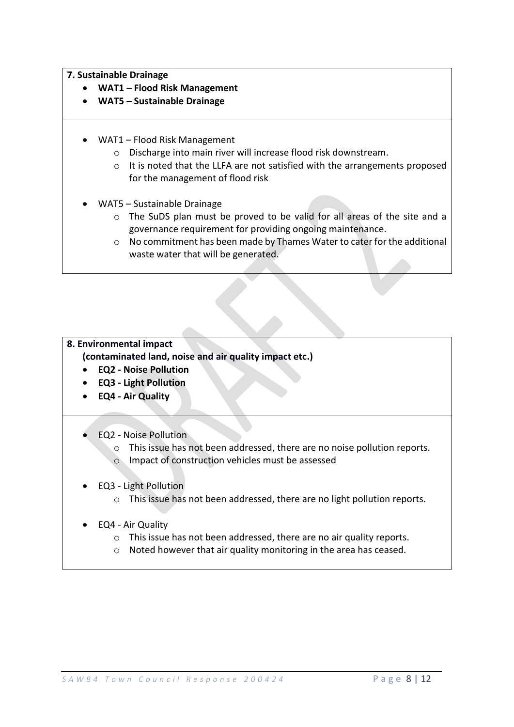#### **7. Sustainable Drainage**

- **WAT1 – Flood Risk Management**
- **WAT5 – Sustainable Drainage**
- WAT1 Flood Risk Management
	- o Discharge into main river will increase flood risk downstream.
	- o It is noted that the LLFA are not satisfied with the arrangements proposed for the management of flood risk
- WAT5 Sustainable Drainage
	- o The SuDS plan must be proved to be valid for all areas of the site and a governance requirement for providing ongoing maintenance.
	- $\circ$  No commitment has been made by Thames Water to cater for the additional waste water that will be generated.

## **8. Environmental impact**

**(contaminated land, noise and air quality impact etc.)**

- **EQ2 - Noise Pollution**
- **EQ3 - Light Pollution**
- **EQ4 - Air Quality**
- EQ2 Noise Pollution
	- o This issue has not been addressed, there are no noise pollution reports.
	- o Impact of construction vehicles must be assessed
- EQ3 Light Pollution
	- o This issue has not been addressed, there are no light pollution reports.
- EQ4 Air Quality
	- o This issue has not been addressed, there are no air quality reports.
	- o Noted however that air quality monitoring in the area has ceased.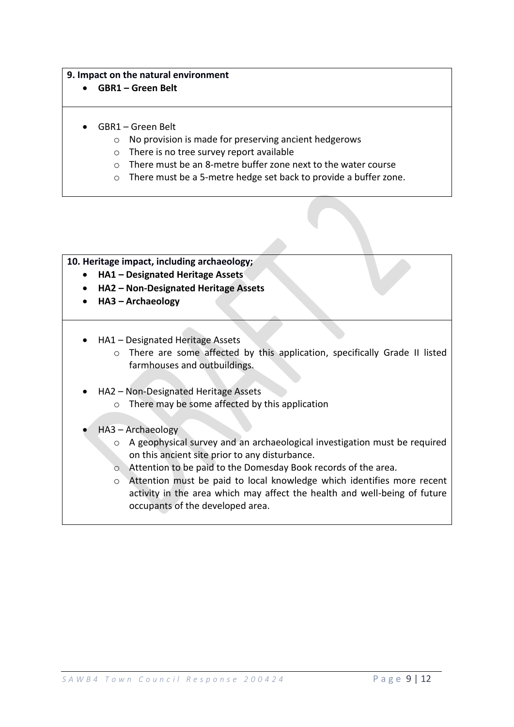#### **9. Impact on the natural environment**

- **GBR1 – Green Belt**
- GBR1 Green Belt
	- o No provision is made for preserving ancient hedgerows
	- o There is no tree survey report available
	- o There must be an 8-metre buffer zone next to the water course
	- o There must be a 5-metre hedge set back to provide a buffer zone.

#### **10. Heritage impact, including archaeology;**

- **HA1 – Designated Heritage Assets**
- **HA2 – Non-Designated Heritage Assets**
- **HA3 – Archaeology**
- HA1 Designated Heritage Assets
	- o There are some affected by this application, specifically Grade II listed farmhouses and outbuildings.
- HA2 Non-Designated Heritage Assets
	- o There may be some affected by this application
- HA3 Archaeology
	- o A geophysical survey and an archaeological investigation must be required on this ancient site prior to any disturbance.
	- o Attention to be paid to the Domesday Book records of the area.
	- o Attention must be paid to local knowledge which identifies more recent activity in the area which may affect the health and well-being of future occupants of the developed area.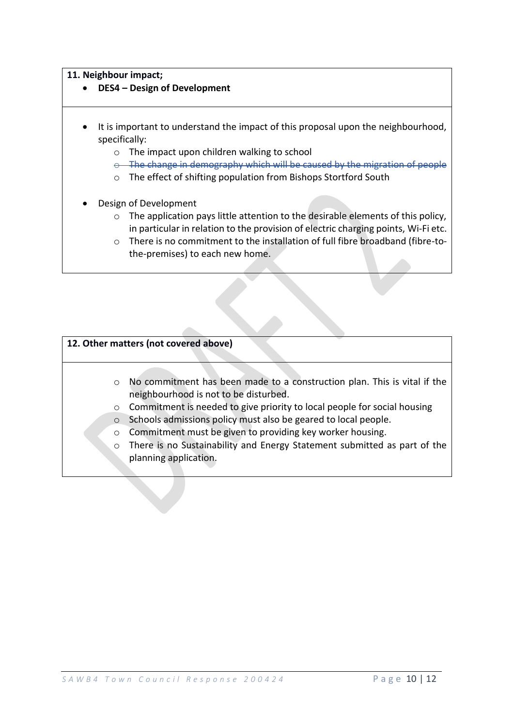#### **11. Neighbour impact;**

- **DES4 – Design of Development**
- It is important to understand the impact of this proposal upon the neighbourhood, specifically:
	- o The impact upon children walking to school
	- $o$  The change in demography which will be caused by the migration of
	- o The effect of shifting population from Bishops Stortford South
- Design of Development
	- o The application pays little attention to the desirable elements of this policy, in particular in relation to the provision of electric charging points, Wi-Fi etc.
	- o There is no commitment to the installation of full fibre broadband (fibre-tothe-premises) to each new home.

#### **12. Other matters (not covered above)**

- o No commitment has been made to a construction plan. This is vital if the neighbourhood is not to be disturbed.
- o Commitment is needed to give priority to local people for social housing
- o Schools admissions policy must also be geared to local people.
- o Commitment must be given to providing key worker housing.
- o There is no Sustainability and Energy Statement submitted as part of the planning application.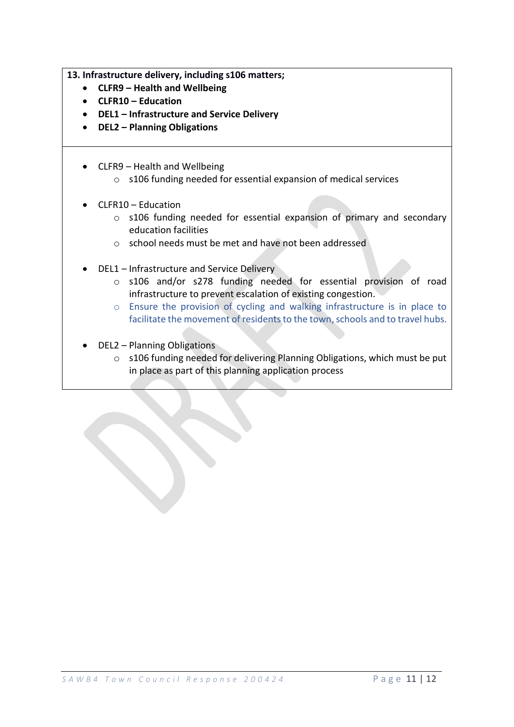**13. Infrastructure delivery, including s106 matters;**

- **CLFR9 – Health and Wellbeing**
- **CLFR10 – Education**
- **DEL1 – Infrastructure and Service Delivery**
- **DEL2 – Planning Obligations**
- CLFR9 Health and Wellbeing
	- o s106 funding needed for essential expansion of medical services
- CLFR10 Education
	- o s106 funding needed for essential expansion of primary and secondary education facilities
	- o school needs must be met and have not been addressed
- DEL1 Infrastructure and Service Delivery
	- o s106 and/or s278 funding needed for essential provision of road infrastructure to prevent escalation of existing congestion.
	- o Ensure the provision of cycling and walking infrastructure is in place to facilitate the movement of residents to the town, schools and to travel hubs.
- DEL2 Planning Obligations
	- o s106 funding needed for delivering Planning Obligations, which must be put in place as part of this planning application process